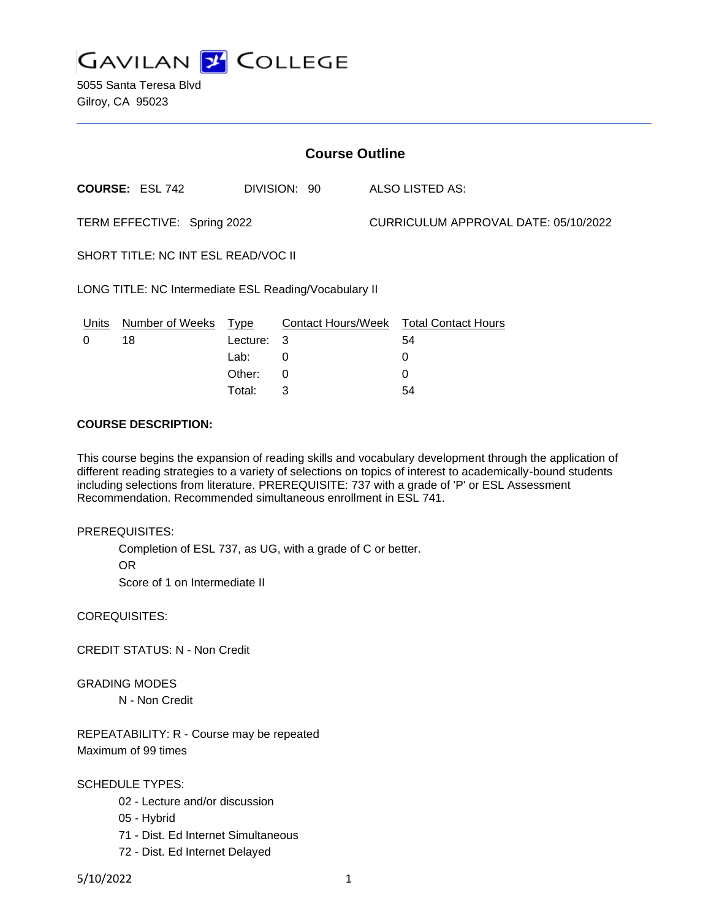

5055 Santa Teresa Blvd Gilroy, CA 95023

| <b>Course Outline</b>                                 |                        |            |              |                                      |                                        |
|-------------------------------------------------------|------------------------|------------|--------------|--------------------------------------|----------------------------------------|
|                                                       | <b>COURSE: ESL 742</b> |            | DIVISION: 90 |                                      | ALSO LISTED AS:                        |
| TERM EFFECTIVE: Spring 2022                           |                        |            |              | CURRICULUM APPROVAL DATE: 05/10/2022 |                                        |
| SHORT TITLE: NC INT ESL READ/VOC II                   |                        |            |              |                                      |                                        |
| LONG TITLE: NC Intermediate ESL Reading/Vocabulary II |                        |            |              |                                      |                                        |
| Units                                                 | Number of Weeks Type   |            |              |                                      | Contact Hours/Week Total Contact Hours |
| $\Omega$                                              | 18                     | Lecture: 3 |              |                                      | 54                                     |
|                                                       |                        | Lab:       | 0            |                                      | 0                                      |
|                                                       |                        | Other:     | 0            |                                      | 0                                      |
|                                                       |                        | Total:     | 3            |                                      | 54                                     |

#### **COURSE DESCRIPTION:**

This course begins the expansion of reading skills and vocabulary development through the application of different reading strategies to a variety of selections on topics of interest to academically-bound students including selections from literature. PREREQUISITE: 737 with a grade of 'P' or ESL Assessment Recommendation. Recommended simultaneous enrollment in ESL 741.

PREREQUISITES:

Completion of ESL 737, as UG, with a grade of C or better. OR Score of 1 on Intermediate II

COREQUISITES:

CREDIT STATUS: N - Non Credit

GRADING MODES

N - Non Credit

REPEATABILITY: R - Course may be repeated Maximum of 99 times

SCHEDULE TYPES:

- 02 Lecture and/or discussion
- 05 Hybrid
- 71 Dist. Ed Internet Simultaneous
- 72 Dist. Ed Internet Delayed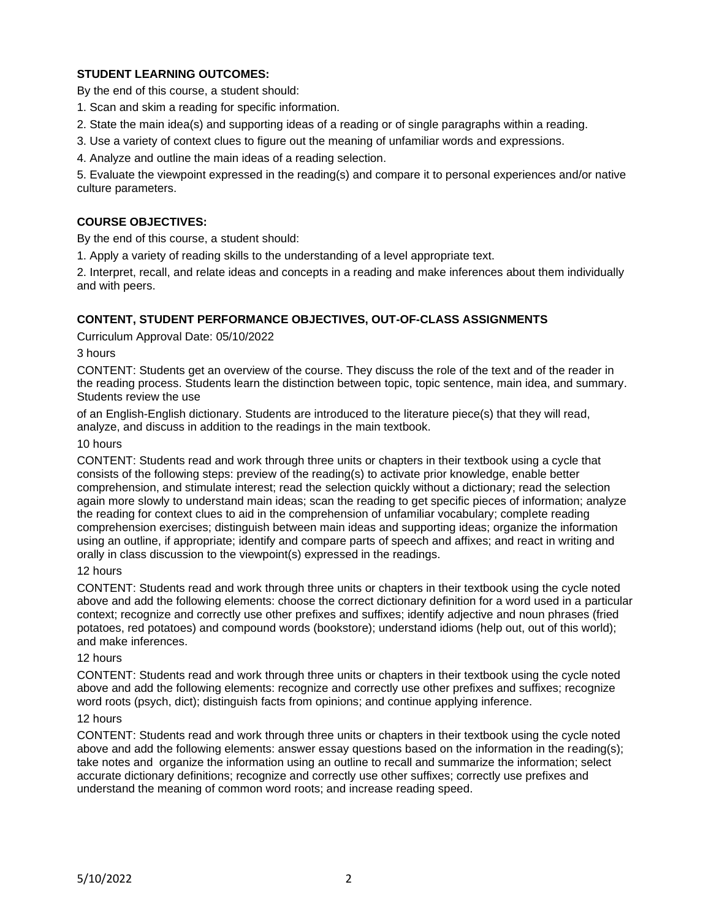# **STUDENT LEARNING OUTCOMES:**

By the end of this course, a student should:

- 1. Scan and skim a reading for specific information.
- 2. State the main idea(s) and supporting ideas of a reading or of single paragraphs within a reading.
- 3. Use a variety of context clues to figure out the meaning of unfamiliar words and expressions.
- 4. Analyze and outline the main ideas of a reading selection.

5. Evaluate the viewpoint expressed in the reading(s) and compare it to personal experiences and/or native culture parameters.

# **COURSE OBJECTIVES:**

By the end of this course, a student should:

1. Apply a variety of reading skills to the understanding of a level appropriate text.

2. Interpret, recall, and relate ideas and concepts in a reading and make inferences about them individually and with peers.

# **CONTENT, STUDENT PERFORMANCE OBJECTIVES, OUT-OF-CLASS ASSIGNMENTS**

Curriculum Approval Date: 05/10/2022

3 hours

CONTENT: Students get an overview of the course. They discuss the role of the text and of the reader in the reading process. Students learn the distinction between topic, topic sentence, main idea, and summary. Students review the use

of an English-English dictionary. Students are introduced to the literature piece(s) that they will read, analyze, and discuss in addition to the readings in the main textbook.

#### 10 hours

CONTENT: Students read and work through three units or chapters in their textbook using a cycle that consists of the following steps: preview of the reading(s) to activate prior knowledge, enable better comprehension, and stimulate interest; read the selection quickly without a dictionary; read the selection again more slowly to understand main ideas; scan the reading to get specific pieces of information; analyze the reading for context clues to aid in the comprehension of unfamiliar vocabulary; complete reading comprehension exercises; distinguish between main ideas and supporting ideas; organize the information using an outline, if appropriate; identify and compare parts of speech and affixes; and react in writing and orally in class discussion to the viewpoint(s) expressed in the readings.

## 12 hours

CONTENT: Students read and work through three units or chapters in their textbook using the cycle noted above and add the following elements: choose the correct dictionary definition for a word used in a particular context; recognize and correctly use other prefixes and suffixes; identify adjective and noun phrases (fried potatoes, red potatoes) and compound words (bookstore); understand idioms (help out, out of this world); and make inferences.

#### 12 hours

CONTENT: Students read and work through three units or chapters in their textbook using the cycle noted above and add the following elements: recognize and correctly use other prefixes and suffixes; recognize word roots (psych, dict); distinguish facts from opinions; and continue applying inference.

#### 12 hours

CONTENT: Students read and work through three units or chapters in their textbook using the cycle noted above and add the following elements: answer essay questions based on the information in the reading(s); take notes and organize the information using an outline to recall and summarize the information; select accurate dictionary definitions; recognize and correctly use other suffixes; correctly use prefixes and understand the meaning of common word roots; and increase reading speed.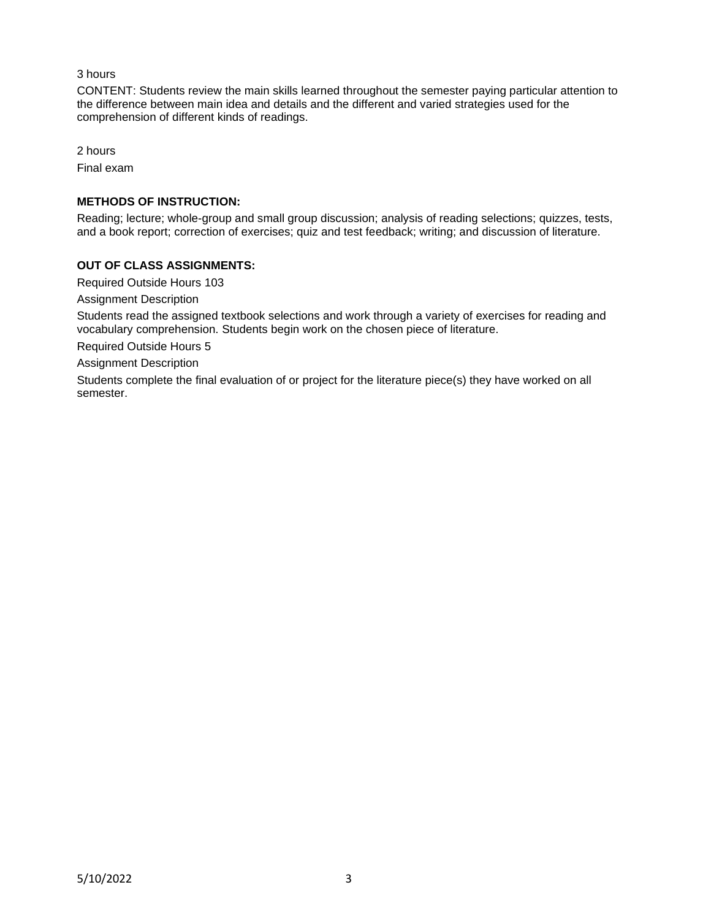## 3 hours

CONTENT: Students review the main skills learned throughout the semester paying particular attention to the difference between main idea and details and the different and varied strategies used for the comprehension of different kinds of readings.

2 hours Final exam

## **METHODS OF INSTRUCTION:**

Reading; lecture; whole-group and small group discussion; analysis of reading selections; quizzes, tests, and a book report; correction of exercises; quiz and test feedback; writing; and discussion of literature.

# **OUT OF CLASS ASSIGNMENTS:**

Required Outside Hours 103

Assignment Description

Students read the assigned textbook selections and work through a variety of exercises for reading and vocabulary comprehension. Students begin work on the chosen piece of literature.

Required Outside Hours 5

Assignment Description

Students complete the final evaluation of or project for the literature piece(s) they have worked on all semester.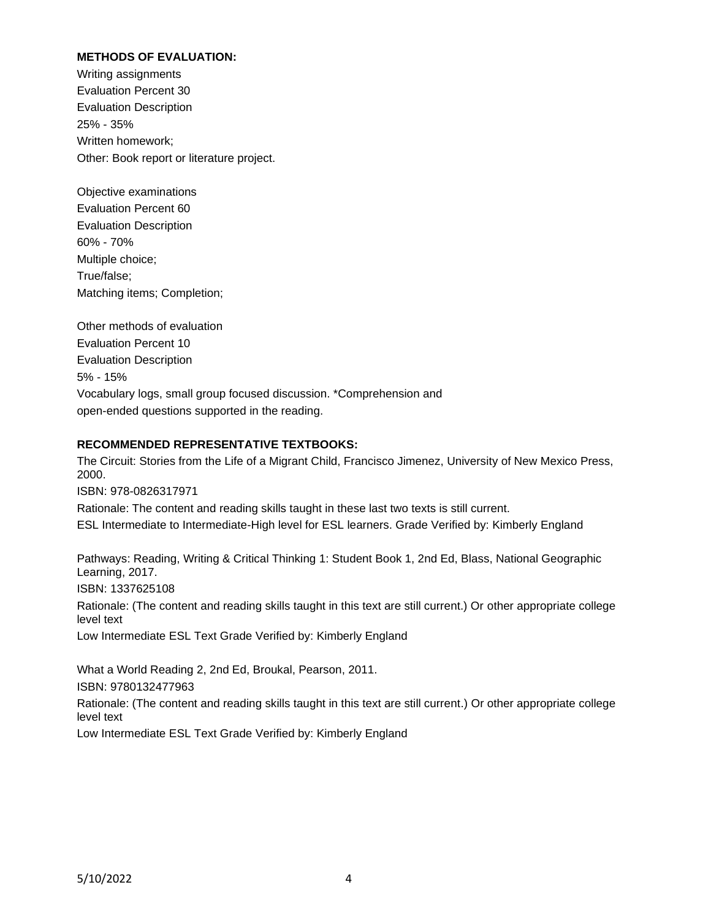## **METHODS OF EVALUATION:**

Writing assignments Evaluation Percent 30 Evaluation Description 25% - 35% Written homework; Other: Book report or literature project.

Objective examinations Evaluation Percent 60 Evaluation Description 60% - 70% Multiple choice; True/false; Matching items; Completion;

Other methods of evaluation Evaluation Percent 10 Evaluation Description 5% - 15% Vocabulary logs, small group focused discussion. \*Comprehension and open-ended questions supported in the reading.

## **RECOMMENDED REPRESENTATIVE TEXTBOOKS:**

The Circuit: Stories from the Life of a Migrant Child, Francisco Jimenez, University of New Mexico Press, 2000.

ISBN: 978-0826317971

Rationale: The content and reading skills taught in these last two texts is still current. ESL Intermediate to Intermediate-High level for ESL learners. Grade Verified by: Kimberly England

Pathways: Reading, Writing & Critical Thinking 1: Student Book 1, 2nd Ed, Blass, National Geographic Learning, 2017.

ISBN: 1337625108

Rationale: (The content and reading skills taught in this text are still current.) Or other appropriate college level text

Low Intermediate ESL Text Grade Verified by: Kimberly England

What a World Reading 2, 2nd Ed, Broukal, Pearson, 2011. ISBN: 9780132477963

Rationale: (The content and reading skills taught in this text are still current.) Or other appropriate college level text

Low Intermediate ESL Text Grade Verified by: Kimberly England